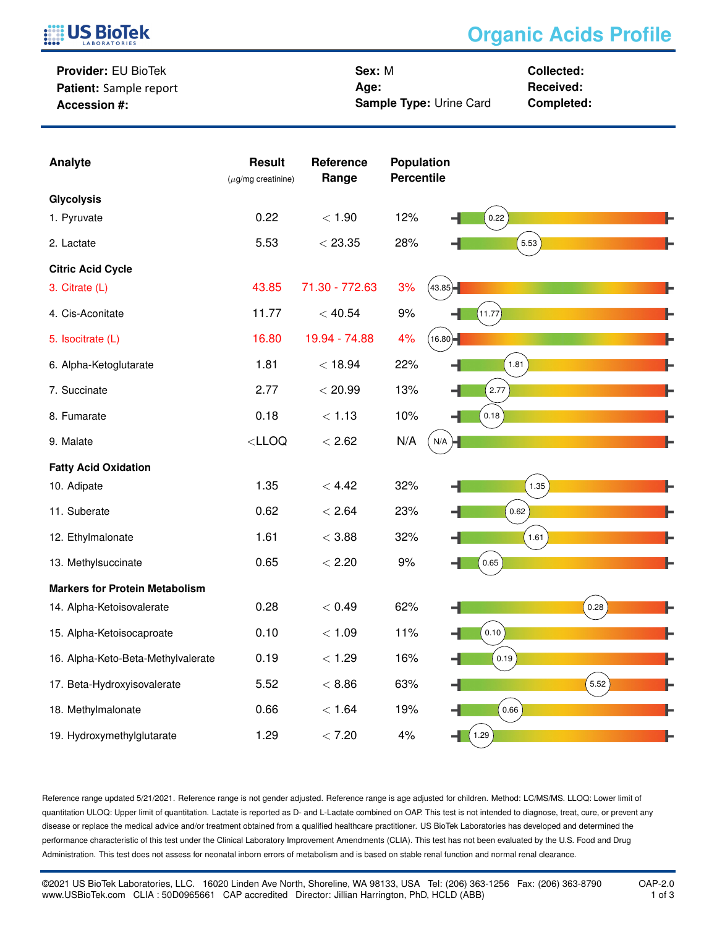

## **Organic Acids Profile**

**Provider:** EU BioTek **Patient:** Sample report **Accession #:**

**Sex:** M **Age: Sample Type:** Urine Card **Collected: Received: Completed:**

| Analyte                               | <b>Result</b><br>( $\mu$ g/mg creatinine) | Reference<br>Range | Population<br><b>Percentile</b> |                     |      |
|---------------------------------------|-------------------------------------------|--------------------|---------------------------------|---------------------|------|
| <b>Glycolysis</b>                     |                                           |                    |                                 |                     |      |
| 1. Pyruvate                           | 0.22                                      | < 1.90             | 12%                             | 0.22                |      |
| 2. Lactate                            | 5.53                                      | < 23.35            | 28%                             | 5.53                |      |
| <b>Citric Acid Cycle</b>              |                                           |                    |                                 |                     |      |
| 3. Citrate (L)                        | 43.85                                     | 71.30 - 772.63     | 3%<br>(43.85)                   |                     |      |
| 4. Cis-Aconitate                      | 11.77                                     | < 40.54            | 9%                              | 11.77               |      |
| 5. Isocitrate (L)                     | 16.80                                     | 19.94 - 74.88      | 4%<br>(16.80)                   |                     |      |
| 6. Alpha-Ketoglutarate                | 1.81                                      | < 18.94            | 22%                             | 1.81                |      |
| 7. Succinate                          | 2.77                                      | < 20.99            | 13%                             | 2.77                |      |
| 8. Fumarate                           | 0.18                                      | < 1.13             | 10%                             | 0.18                |      |
| 9. Malate                             | $<$ LLOQ                                  | < 2.62             | N/A<br>N/A                      |                     |      |
| <b>Fatty Acid Oxidation</b>           |                                           |                    |                                 |                     |      |
| 10. Adipate                           | 1.35                                      | < 4.42             | 32%                             | 1.35                |      |
| 11. Suberate                          | 0.62                                      | < 2.64             | 23%                             | 0.62                |      |
| 12. Ethylmalonate                     | 1.61                                      | < 3.88             | 32%                             | 1.61                |      |
| 13. Methylsuccinate                   | 0.65                                      | < 2.20             | 9%                              | 0.65                |      |
| <b>Markers for Protein Metabolism</b> |                                           |                    |                                 |                     |      |
| 14. Alpha-Ketoisovalerate             | 0.28                                      | < 0.49             | 62%                             |                     | 0.28 |
| 15. Alpha-Ketoisocaproate             | 0.10                                      | < 1.09             | 11%                             | 0.10                |      |
| 16. Alpha-Keto-Beta-Methylvalerate    | 0.19                                      | < 1.29             | 16%                             | $\left[0.19\right)$ |      |
| 17. Beta-Hydroxyisovalerate           | 5.52                                      | < 8.86             | 63%                             |                     | 5.52 |
| 18. Methylmalonate                    | 0.66                                      | < 1.64             | 19%                             | 0.66                |      |
| 19. Hydroxymethylglutarate            | 1.29                                      | < 7.20             | 4%                              | 1.29<br>4           |      |

Reference range updated 5/21/2021. Reference range is not gender adjusted. Reference range is age adjusted for children. Method: LC/MS/MS. LLOQ: Lower limit of quantitation ULOQ: Upper limit of quantitation. Lactate is reported as D- and L-Lactate combined on OAP. This test is not intended to diagnose, treat, cure, or prevent any disease or replace the medical advice and/or treatment obtained from a qualified healthcare practitioner. US BioTek Laboratories has developed and determined the performance characteristic of this test under the Clinical Laboratory Improvement Amendments (CLIA). This test has not been evaluated by the U.S. Food and Drug Administration. This test does not assess for neonatal inborn errors of metabolism and is based on stable renal function and normal renal clearance.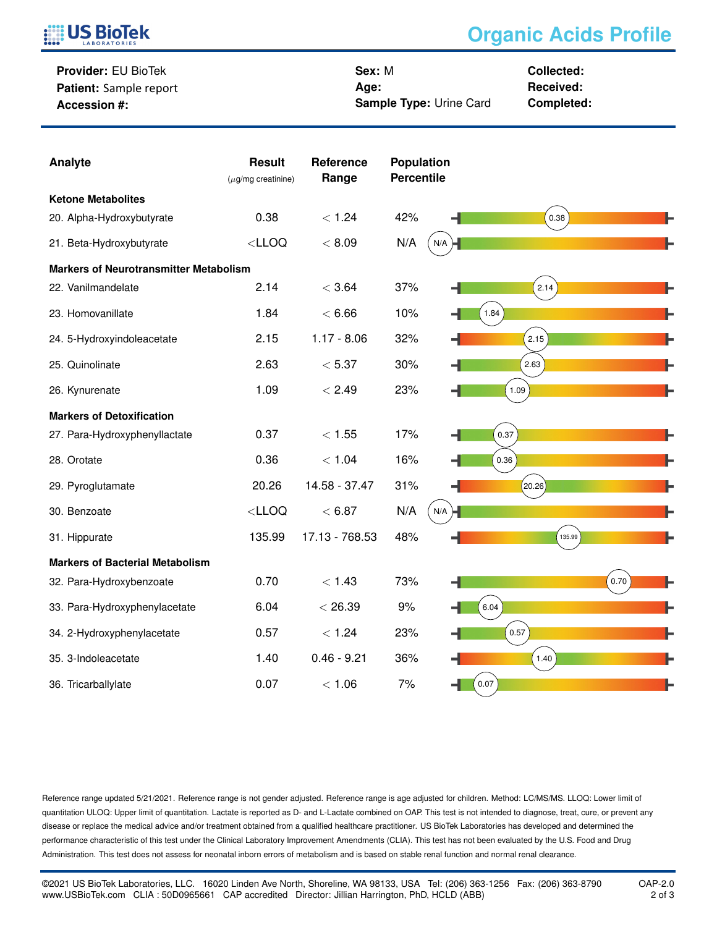

## **Organic Acids Profile**

**Provider:** EU BioTek **Patient:** Sample report **Accession #:**

**Sex:** M **Age: Sample Type:** Urine Card **Collected: Received: Completed:**

| Analyte                                       | <b>Result</b><br>$(\mu$ g/mg creatinine) | Reference<br>Range | <b>Population</b><br><b>Percentile</b> |        |
|-----------------------------------------------|------------------------------------------|--------------------|----------------------------------------|--------|
| <b>Ketone Metabolites</b>                     |                                          |                    |                                        |        |
| 20. Alpha-Hydroxybutyrate                     | 0.38                                     | < 1.24             | 42%                                    | 0.38   |
| 21. Beta-Hydroxybutyrate                      | $<$ LLOQ                                 | < 8.09             | N/A<br>$N/A$ $\rightarrow$             |        |
| <b>Markers of Neurotransmitter Metabolism</b> |                                          |                    |                                        |        |
| 22. Vanilmandelate                            | 2.14                                     | < 3.64             | 37%                                    | 2.14   |
| 23. Homovanillate                             | 1.84                                     | < 6.66             | 10%                                    | 1.84   |
| 24. 5-Hydroxyindoleacetate                    | 2.15                                     | $1.17 - 8.06$      | 32%                                    | 2.15   |
| 25. Quinolinate                               | 2.63                                     | < 5.37             | 30%                                    | 2.63   |
| 26. Kynurenate                                | 1.09                                     | < 2.49             | 23%                                    | 1.09   |
| <b>Markers of Detoxification</b>              |                                          |                    |                                        |        |
| 27. Para-Hydroxyphenyllactate                 | 0.37                                     | < 1.55             | 17%                                    | 0.37   |
| 28. Orotate                                   | 0.36                                     | < 1.04             | 16%                                    | 0.36   |
| 29. Pyroglutamate                             | 20.26                                    | 14.58 - 37.47      | 31%                                    | 20.26  |
| 30. Benzoate                                  | $<$ LLOQ                                 | < 6.87             | N/A<br>N/A                             |        |
| 31. Hippurate                                 | 135.99                                   | 17.13 - 768.53     | 48%                                    | 135.99 |
| <b>Markers of Bacterial Metabolism</b>        |                                          |                    |                                        |        |
| 32. Para-Hydroxybenzoate                      | 0.70                                     | < 1.43             | 73%                                    | 0.70   |
| 33. Para-Hydroxyphenylacetate                 | 6.04                                     | < 26.39            | 9%                                     | 6.04   |
| 34. 2-Hydroxyphenylacetate                    | 0.57                                     | < 1.24             | 23%                                    | 0.57   |
| 35. 3-Indoleacetate                           | 1.40                                     | $0.46 - 9.21$      | 36%                                    | 1.40   |
| 36. Tricarballylate                           | 0.07                                     | < 1.06             | 7%                                     | 0.07   |

Reference range updated 5/21/2021. Reference range is not gender adjusted. Reference range is age adjusted for children. Method: LC/MS/MS. LLOQ: Lower limit of quantitation ULOQ: Upper limit of quantitation. Lactate is reported as D- and L-Lactate combined on OAP. This test is not intended to diagnose, treat, cure, or prevent any disease or replace the medical advice and/or treatment obtained from a qualified healthcare practitioner. US BioTek Laboratories has developed and determined the performance characteristic of this test under the Clinical Laboratory Improvement Amendments (CLIA). This test has not been evaluated by the U.S. Food and Drug Administration. This test does not assess for neonatal inborn errors of metabolism and is based on stable renal function and normal renal clearance.